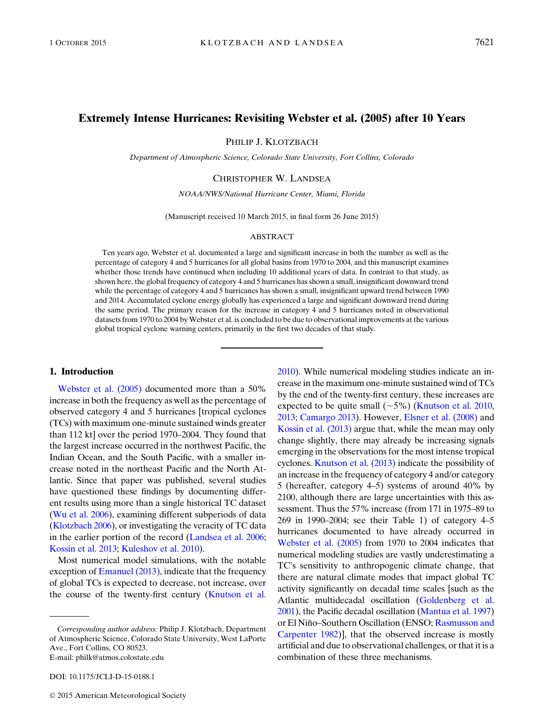# Extremely Intense Hurricanes: Revisiting Webster et al. (2005) after 10 Years

PHILIP J. KLOTZBACH

Department of Atmospheric Science, Colorado State University, Fort Collins, Colorado

### CHRISTOPHER W. LANDSEA

NOAA/NWS/National Hurricane Center, Miami, Florida

(Manuscript received 10 March 2015, in final form 26 June 2015)

#### ABSTRACT

Ten years ago, Webster et al. documented a large and significant increase in both the number as well as the percentage of category 4 and 5 hurricanes for all global basins from 1970 to 2004, and this manuscript examines whether those trends have continued when including 10 additional years of data. In contrast to that study, as shown here, the global frequency of category 4 and 5 hurricanes has shown a small, insignificant downward trend while the percentage of category 4 and 5 hurricanes has shown a small, insignificant upward trend between 1990 and 2014. Accumulated cyclone energy globally has experienced a large and significant downward trend during the same period. The primary reason for the increase in category 4 and 5 hurricanes noted in observational datasets from 1970 to 2004 by Webster et al. is concluded to be due to observational improvements at the various global tropical cyclone warning centers, primarily in the first two decades of that study.

## 1. Introduction

[Webster et al. \(2005\)](#page-8-0) documented more than a 50% increase in both the frequency as well as the percentage of observed category 4 and 5 hurricanes [tropical cyclones (TCs) with maximum one-minute sustained winds greater than 112 kt] over the period 1970–2004. They found that the largest increase occurred in the northwest Pacific, the Indian Ocean, and the South Pacific, with a smaller increase noted in the northeast Pacific and the North Atlantic. Since that paper was published, several studies have questioned these findings by documenting different results using more than a single historical TC dataset [\(Wu et al. 2006\)](#page-8-1), examining different subperiods of data [\(Klotzbach 2006\)](#page-8-2), or investigating the veracity of TC data in the earlier portion of the record ([Landsea et al. 2006;](#page-8-3) [Kossin et al. 2013](#page-8-4); [Kuleshov et al. 2010\)](#page-8-5).

Most numerical model simulations, with the notable exception of [Emanuel \(2013\),](#page-8-6) indicate that the frequency of global TCs is expected to decrease, not increase, over the course of the twenty-first century [\(Knutson et al.](#page-8-7)

DOI: 10.1175/JCLI-D-15-0188.1

[2010](#page-8-7)). While numerical modeling studies indicate an increase in the maximum one-minute sustained wind of TCs by the end of the twenty-first century, these increases are expected to be quite small  $({\sim}5\%)$  ([Knutson et al. 2010,](#page-8-7) [2013](#page-8-8); [Camargo 2013\)](#page-8-9). However, [Elsner et al. \(2008\)](#page-8-10) and [Kossin et al. \(2013\)](#page-8-4) argue that, while the mean may only change slightly, there may already be increasing signals emerging in the observations for the most intense tropical cyclones. [Knutson et al. \(2013\)](#page-8-8) indicate the possibility of an increase in the frequency of category 4 and/or category 5 (hereafter, category 4–5) systems of around 40% by 2100, although there are large uncertainties with this assessment. Thus the 57% increase (from 171 in 1975–89 to 269 in 1990–2004; see their Table 1) of category 4–5 hurricanes documented to have already occurred in [Webster et al. \(2005\)](#page-8-0) from 1970 to 2004 indicates that numerical modeling studies are vastly underestimating a TC's sensitivity to anthropogenic climate change, that there are natural climate modes that impact global TC activity significantly on decadal time scales [such as the Atlantic multidecadal oscillation ([Goldenberg et al.](#page-8-11) [2001](#page-8-11)), the Pacific decadal oscillation ([Mantua et al. 1997](#page-8-12)) or El Niño–Southern Oscillation (ENSO; [Rasmusson and](#page-8-13) [Carpenter 1982](#page-8-13))], that the observed increase is mostly artificial and due to observational challenges, or that it is a combination of these three mechanisms.

Corresponding author address: Philip J. Klotzbach, Department of Atmospheric Science, Colorado State University, West LaPorte Ave., Fort Collins, CO 80523. E-mail: [philk@atmos.colostate.edu](mailto:philk@atmos.colostate.edu)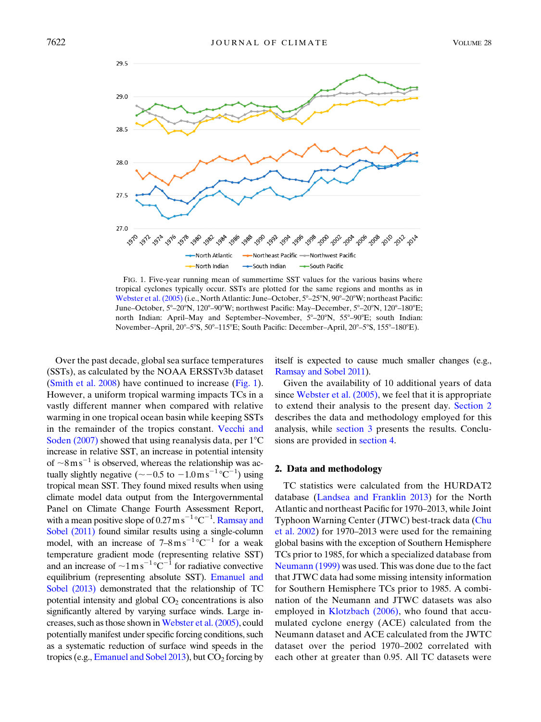<span id="page-1-0"></span>

FIG. 1. Five-year running mean of summertime SST values for the various basins where tropical cyclones typically occur. SSTs are plotted for the same regions and months as in [Webster et al. \(2005\)](#page-8-0) (i.e., North Atlantic: June–October,  $5^{\circ}$ –25°N,  $90^{\circ}$ –20°W; northeast Pacific: June–October, 5°–20°N, 120°–90°W; northwest Pacific: May–December, 5°–20°N, 120°–180°E; north Indian: April–May and September–November,  $5^{\circ}$ –20°N,  $55^{\circ}$ –90°E; south Indian: November–April, 20°–5°S, 50°–115°E; South Pacific: December–April, 20°–5°S, 155°–180°E).

Over the past decade, global sea surface temperatures (SSTs), as calculated by the NOAA ERSSTv3b dataset ([Smith et al. 2008](#page-8-14)) have continued to increase ([Fig. 1](#page-1-0)). However, a uniform tropical warming impacts TCs in a vastly different manner when compared with relative warming in one tropical ocean basin while keeping SSTs in the remainder of the tropics constant. [Vecchi and](#page-8-15) [Soden \(2007\)](#page-8-15) showed that using reanalysis data, per  $1^{\circ}$ C increase in relative SST, an increase in potential intensity of  $\sim$ 8ms<sup>-1</sup> is observed, whereas the relationship was actually slightly negative ( $\sim -0.5$  to  $-1.0 \,\mathrm{m\,s}^{-1} \,^{\circ} \mathrm{C}^{-1}$ ) using tropical mean SST. They found mixed results when using climate model data output from the Intergovernmental Panel on Climate Change Fourth Assessment Report, with a mean positive slope of 0.27 m  $\rm s^{-1}$ °C<sup>-1</sup>. [Ramsay and](#page-8-16) [Sobel \(2011\)](#page-8-16) found similar results using a single-column model, with an increase of  $7-8 \text{ m s}^{-1}$  occurs of  $C^{-1}$  for a weak temperature gradient mode (representing relative SST) and an increase of  $\sim 1 \text{ m s}^{-1} {}^{\circ}C^{-1}$  for radiative convective equilibrium (representing absolute SST). [Emanuel and](#page-8-17) [Sobel \(2013\)](#page-8-17) demonstrated that the relationship of TC potential intensity and global  $CO<sub>2</sub>$  concentrations is also significantly altered by varying surface winds. Large increases, such as those shown in [Webster et al. \(2005\)](#page-8-0), could potentially manifest under specific forcing conditions, such as a systematic reduction of surface wind speeds in the tropics (e.g., [Emanuel and Sobel 2013\)](#page-8-17), but  $CO<sub>2</sub>$  forcing by itself is expected to cause much smaller changes (e.g., [Ramsay and Sobel 2011\)](#page-8-16).

Given the availability of 10 additional years of data since [Webster et al. \(2005\)](#page-8-0), we feel that it is appropriate to extend their analysis to the present day. [Section 2](#page-1-1) describes the data and methodology employed for this analysis, while [section 3](#page-2-0) presents the results. Conclusions are provided in [section 4.](#page-7-0)

#### <span id="page-1-1"></span>2. Data and methodology

TC statistics were calculated from the HURDAT2 database [\(Landsea and Franklin 2013\)](#page-8-18) for the North Atlantic and northeast Pacific for 1970–2013, while Joint Typhoon Warning Center (JTWC) best-track data ([Chu](#page-8-19) [et al. 2002\)](#page-8-19) for 1970–2013 were used for the remaining global basins with the exception of Southern Hemisphere TCs prior to 1985, for which a specialized database from [Neumann \(1999\)](#page-8-20) was used. This was done due to the fact that JTWC data had some missing intensity information for Southern Hemisphere TCs prior to 1985. A combination of the Neumann and JTWC datasets was also employed in [Klotzbach \(2006\),](#page-8-2) who found that accumulated cyclone energy (ACE) calculated from the Neumann dataset and ACE calculated from the JWTC dataset over the period 1970–2002 correlated with each other at greater than 0.95. All TC datasets were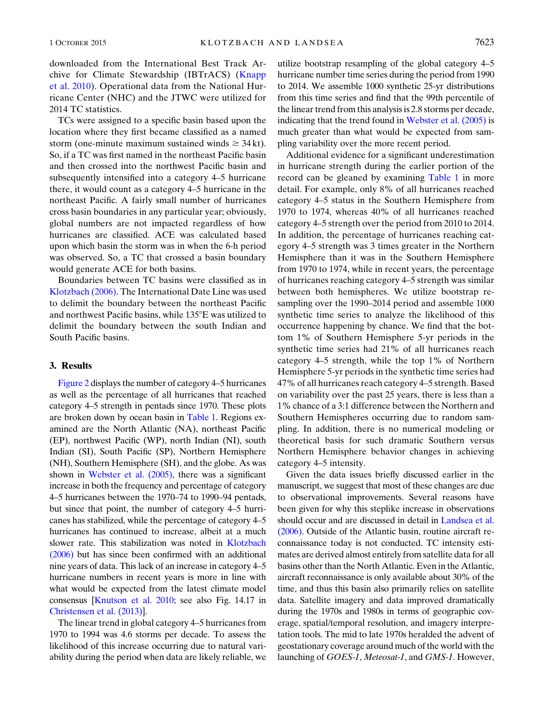downloaded from the International Best Track Archive for Climate Stewardship (IBTrACS) ([Knapp](#page-8-21) [et al. 2010](#page-8-21)). Operational data from the National Hurricane Center (NHC) and the JTWC were utilized for 2014 TC statistics.

TCs were assigned to a specific basin based upon the location where they first became classified as a named storm (one-minute maximum sustained winds  $\geq 34$  kt). So, if a TC was first named in the northeast Pacific basin and then crossed into the northwest Pacific basin and subsequently intensified into a category 4–5 hurricane there, it would count as a category 4–5 hurricane in the northeast Pacific. A fairly small number of hurricanes cross basin boundaries in any particular year; obviously, global numbers are not impacted regardless of how hurricanes are classified. ACE was calculated based upon which basin the storm was in when the 6-h period was observed. So, a TC that crossed a basin boundary would generate ACE for both basins.

Boundaries between TC basins were classified as in [Klotzbach \(2006\).](#page-8-2) The International Date Line was used to delimit the boundary between the northeast Pacific and northwest Pacific basins, while  $135^{\circ}E$  was utilized to delimit the boundary between the south Indian and South Pacific basins.

## <span id="page-2-0"></span>3. Results

[Figure 2](#page-3-0) displays the number of category 4–5 hurricanes as well as the percentage of all hurricanes that reached category 4–5 strength in pentads since 1970. These plots are broken down by ocean basin in [Table 1](#page-4-0). Regions examined are the North Atlantic (NA), northeast Pacific (EP), northwest Pacific (WP), north Indian (NI), south Indian (SI), South Pacific (SP), Northern Hemisphere (NH), Southern Hemisphere (SH), and the globe. As was shown in [Webster et al. \(2005\),](#page-8-0) there was a significant increase in both the frequency and percentage of category 4–5 hurricanes between the 1970–74 to 1990–94 pentads, but since that point, the number of category 4–5 hurricanes has stabilized, while the percentage of category 4–5 hurricanes has continued to increase, albeit at a much slower rate. This stabilization was noted in [Klotzbach](#page-8-2) [\(2006\)](#page-8-2) but has since been confirmed with an additional nine years of data. This lack of an increase in category 4–5 hurricane numbers in recent years is more in line with what would be expected from the latest climate model consensus [\[Knutson et al. 2010](#page-8-7); see also Fig. 14.17 in [Christensen et al. \(2013\)](#page-8-22)].

The linear trend in global category 4–5 hurricanes from 1970 to 1994 was 4.6 storms per decade. To assess the likelihood of this increase occurring due to natural variability during the period when data are likely reliable, we utilize bootstrap resampling of the global category 4–5 hurricane number time series during the period from 1990 to 2014. We assemble 1000 synthetic 25-yr distributions from this time series and find that the 99th percentile of the linear trend from this analysis is 2.8 storms per decade, indicating that the trend found in [Webster et al. \(2005\)](#page-8-0) is much greater than what would be expected from sampling variability over the more recent period.

Additional evidence for a significant underestimation in hurricane strength during the earlier portion of the record can be gleaned by examining [Table 1](#page-4-0) in more detail. For example, only 8% of all hurricanes reached category 4–5 status in the Southern Hemisphere from 1970 to 1974, whereas 40% of all hurricanes reached category 4–5 strength over the period from 2010 to 2014. In addition, the percentage of hurricanes reaching category 4–5 strength was 3 times greater in the Northern Hemisphere than it was in the Southern Hemisphere from 1970 to 1974, while in recent years, the percentage of hurricanes reaching category 4–5 strength was similar between both hemispheres. We utilize bootstrap resampling over the 1990–2014 period and assemble 1000 synthetic time series to analyze the likelihood of this occurrence happening by chance. We find that the bottom 1% of Southern Hemisphere 5-yr periods in the synthetic time series had 21% of all hurricanes reach category 4–5 strength, while the top 1% of Northern Hemisphere 5-yr periods in the synthetic time series had 47% of all hurricanes reach category 4–5 strength. Based on variability over the past 25 years, there is less than a 1% chance of a 3:1 difference between the Northern and Southern Hemispheres occurring due to random sampling. In addition, there is no numerical modeling or theoretical basis for such dramatic Southern versus Northern Hemisphere behavior changes in achieving category 4–5 intensity.

Given the data issues briefly discussed earlier in the manuscript, we suggest that most of these changes are due to observational improvements. Several reasons have been given for why this steplike increase in observations should occur and are discussed in detail in [Landsea et al.](#page-8-3) [\(2006\)](#page-8-3). Outside of the Atlantic basin, routine aircraft reconnaissance today is not conducted. TC intensity estimates are derived almost entirely from satellite data for all basins other than the North Atlantic. Even in the Atlantic, aircraft reconnaissance is only available about 30% of the time, and thus this basin also primarily relies on satellite data. Satellite imagery and data improved dramatically during the 1970s and 1980s in terms of geographic coverage, spatial/temporal resolution, and imagery interpretation tools. The mid to late 1970s heralded the advent of geostationary coverage around much of the world with the launching of GOES-1, Meteosat-1, and GMS-1. However,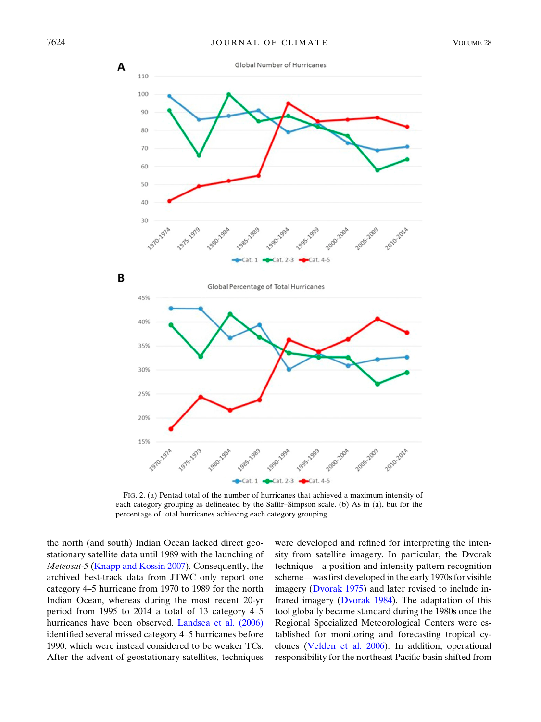<span id="page-3-0"></span>

FIG. 2. (a) Pentad total of the number of hurricanes that achieved a maximum intensity of each category grouping as delineated by the Saffir–Simpson scale. (b) As in (a), but for the percentage of total hurricanes achieving each category grouping.

the north (and south) Indian Ocean lacked direct geostationary satellite data until 1989 with the launching of Meteosat-5 ([Knapp and Kossin 2007](#page-8-23)). Consequently, the archived best-track data from JTWC only report one category 4–5 hurricane from 1970 to 1989 for the north Indian Ocean, whereas during the most recent 20-yr period from 1995 to 2014 a total of 13 category 4–5 hurricanes have been observed. [Landsea et al. \(2006\)](#page-8-3) identified several missed category 4–5 hurricanes before 1990, which were instead considered to be weaker TCs. After the advent of geostationary satellites, techniques

were developed and refined for interpreting the intensity from satellite imagery. In particular, the Dvorak technique—a position and intensity pattern recognition scheme—was first developed in the early 1970s for visible imagery ([Dvorak 1975\)](#page-8-24) and later revised to include infrared imagery [\(Dvorak 1984\)](#page-8-25). The adaptation of this tool globally became standard during the 1980s once the Regional Specialized Meteorological Centers were established for monitoring and forecasting tropical cyclones [\(Velden et al. 2006\)](#page-8-26). In addition, operational responsibility for the northeast Pacific basin shifted from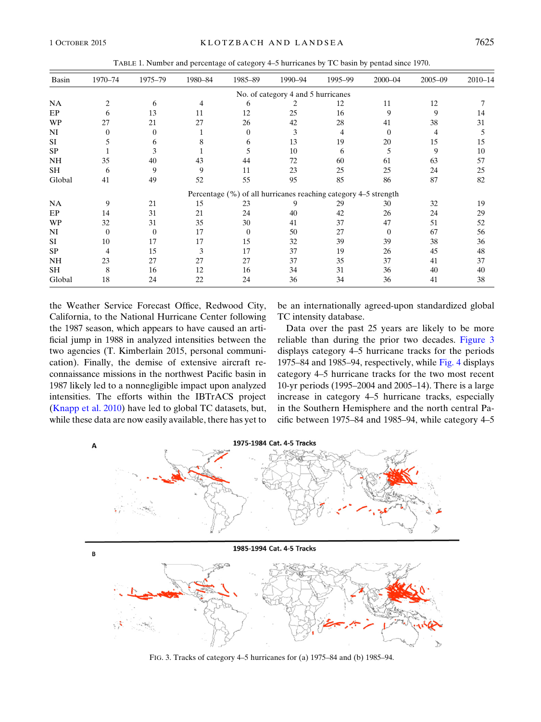TABLE 1. Number and percentage of category 4–5 hurricanes by TC basin by pentad since 1970.

<span id="page-4-0"></span>

| Basin     | 1970-74  | 1975-79  | 1980-84 | 1985-89                                                         | 1990-94                            | 1995-99 | $2000 - 04$ | $2005 - 09$ | $2010 - 14$ |
|-----------|----------|----------|---------|-----------------------------------------------------------------|------------------------------------|---------|-------------|-------------|-------------|
|           |          |          |         |                                                                 | No. of category 4 and 5 hurricanes |         |             |             |             |
| NA        | 2        | 6        |         | 6                                                               | 2                                  | 12      | 11          | 12          |             |
| EP        | 6        | 13       | 11      | 12                                                              | 25                                 | 16      | 9           | 9           | 14          |
| <b>WP</b> | 27       | 21       | 27      | 26                                                              | 42                                 | 28      | 41          | 38          | 31          |
| NI        | 0        | $\theta$ |         | 0                                                               | 3                                  | 4       | $\Omega$    | 4           | 5.          |
| <b>SI</b> | 5        | 6        | 8       | 6                                                               | 13                                 | 19      | 20          | 15          | 15          |
| <b>SP</b> |          | 3        |         | 5                                                               | 10                                 | 6       | 5           | 9           | 10          |
| NH        | 35       | 40       | 43      | 44                                                              | 72                                 | 60      | 61          | 63          | 57          |
| <b>SH</b> | 6        | 9        | 9       | 11                                                              | 23                                 | 25      | 25          | 24          | 25          |
| Global    | 41       | 49       | 52      | 55                                                              | 95                                 | 85      | 86          | 87          | 82          |
|           |          |          |         | Percentage (%) of all hurricanes reaching category 4–5 strength |                                    |         |             |             |             |
| <b>NA</b> | 9        | 21       | 15      | 23                                                              | 9                                  | 29      | 30          | 32          | 19          |
| EP        | 14       | 31       | 21      | 24                                                              | 40                                 | 42      | 26          | 24          | 29          |
| <b>WP</b> | 32       | 31       | 35      | 30                                                              | 41                                 | 37      | 47          | 51          | 52          |
| NI        | $\Omega$ | $\Omega$ | 17      | $\Omega$                                                        | 50                                 | 27      | 0           | 67          | 56          |
| <b>SI</b> | 10       | 17       | 17      | 15                                                              | 32                                 | 39      | 39          | 38          | 36          |
| <b>SP</b> | 4        | 15       | 3       | 17                                                              | 37                                 | 19      | 26          | 45          | 48          |
| NH        | 23       | 27       | 27      | 27                                                              | 37                                 | 35      | 37          | 41          | 37          |
| <b>SH</b> | 8        | 16       | 12      | 16                                                              | 34                                 | 31      | 36          | 40          | 40          |
| Global    | 18       | 24       | 22      | 24                                                              | 36                                 | 34      | 36          | 41          | 38          |

the Weather Service Forecast Office, Redwood City, California, to the National Hurricane Center following the 1987 season, which appears to have caused an artificial jump in 1988 in analyzed intensities between the two agencies (T. Kimberlain 2015, personal communication). Finally, the demise of extensive aircraft reconnaissance missions in the northwest Pacific basin in 1987 likely led to a nonnegligible impact upon analyzed intensities. The efforts within the IBTrACS project [\(Knapp et al. 2010](#page-8-21)) have led to global TC datasets, but, while these data are now easily available, there has yet to be an internationally agreed-upon standardized global TC intensity database.

Data over the past 25 years are likely to be more reliable than during the prior two decades. [Figure 3](#page-4-1) displays category 4–5 hurricane tracks for the periods 1975–84 and 1985–94, respectively, while [Fig. 4](#page-5-0) displays category 4–5 hurricane tracks for the two most recent 10-yr periods (1995–2004 and 2005–14). There is a large increase in category 4–5 hurricane tracks, especially in the Southern Hemisphere and the north central Pacific between 1975–84 and 1985–94, while category 4–5

<span id="page-4-1"></span>

FIG. 3. Tracks of category 4–5 hurricanes for (a) 1975–84 and (b) 1985–94.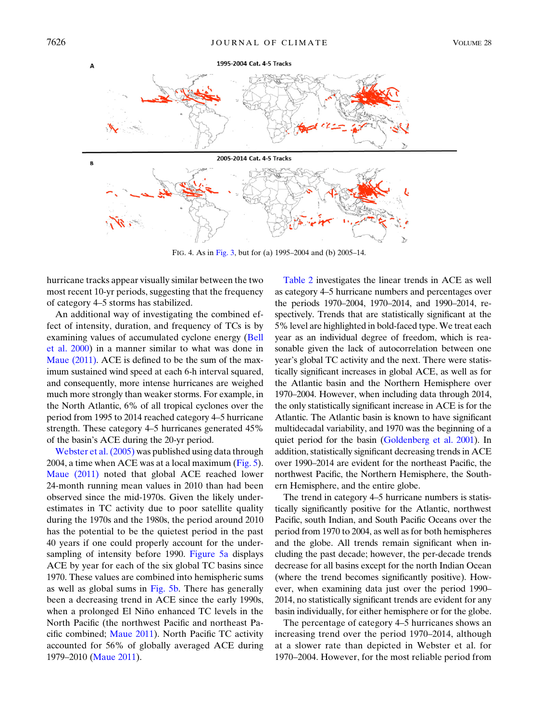<span id="page-5-0"></span>

FIG. 4. As in [Fig. 3,](#page-4-1) but for (a) 1995–2004 and (b) 2005–14.

hurricane tracks appear visually similar between the two most recent 10-yr periods, suggesting that the frequency of category 4–5 storms has stabilized.

An additional way of investigating the combined effect of intensity, duration, and frequency of TCs is by examining values of accumulated cyclone energy [\(Bell](#page-8-27) [et al. 2000](#page-8-27)) in a manner similar to what was done in [Maue \(2011\).](#page-8-28) ACE is defined to be the sum of the maximum sustained wind speed at each 6-h interval squared, and consequently, more intense hurricanes are weighed much more strongly than weaker storms. For example, in the North Atlantic, 6% of all tropical cyclones over the period from 1995 to 2014 reached category 4–5 hurricane strength. These category 4–5 hurricanes generated 45% of the basin's ACE during the 20-yr period.

[Webster et al. \(2005\)](#page-8-0) was published using data through 2004, a time when ACE was at a local maximum ([Fig. 5](#page-6-0)). [Maue \(2011\)](#page-8-28) noted that global ACE reached lower 24-month running mean values in 2010 than had been observed since the mid-1970s. Given the likely underestimates in TC activity due to poor satellite quality during the 1970s and the 1980s, the period around 2010 has the potential to be the quietest period in the past 40 years if one could properly account for the under-sampling of intensity before 1990. [Figure 5a](#page-6-0) displays ACE by year for each of the six global TC basins since 1970. These values are combined into hemispheric sums as well as global sums in [Fig. 5b.](#page-6-0) There has generally been a decreasing trend in ACE since the early 1990s, when a prolonged El Niño enhanced TC levels in the North Pacific (the northwest Pacific and northeast Pacific combined; [Maue 2011](#page-8-28)). North Pacific TC activity accounted for 56% of globally averaged ACE during 1979–2010 ([Maue 2011\)](#page-8-28).

[Table 2](#page-7-1) investigates the linear trends in ACE as well as category 4–5 hurricane numbers and percentages over the periods 1970–2004, 1970–2014, and 1990–2014, respectively. Trends that are statistically significant at the 5% level are highlighted in bold-faced type. We treat each year as an individual degree of freedom, which is reasonable given the lack of autocorrelation between one year's global TC activity and the next. There were statistically significant increases in global ACE, as well as for the Atlantic basin and the Northern Hemisphere over 1970–2004. However, when including data through 2014, the only statistically significant increase in ACE is for the Atlantic. The Atlantic basin is known to have significant multidecadal variability, and 1970 was the beginning of a quiet period for the basin [\(Goldenberg et al. 2001\)](#page-8-11). In addition, statistically significant decreasing trends in ACE over 1990–2014 are evident for the northeast Pacific, the northwest Pacific, the Northern Hemisphere, the Southern Hemisphere, and the entire globe.

The trend in category 4–5 hurricane numbers is statistically significantly positive for the Atlantic, northwest Pacific, south Indian, and South Pacific Oceans over the period from 1970 to 2004, as well as for both hemispheres and the globe. All trends remain significant when including the past decade; however, the per-decade trends decrease for all basins except for the north Indian Ocean (where the trend becomes significantly positive). However, when examining data just over the period 1990– 2014, no statistically significant trends are evident for any basin individually, for either hemisphere or for the globe.

The percentage of category 4–5 hurricanes shows an increasing trend over the period 1970–2014, although at a slower rate than depicted in Webster et al. for 1970–2004. However, for the most reliable period from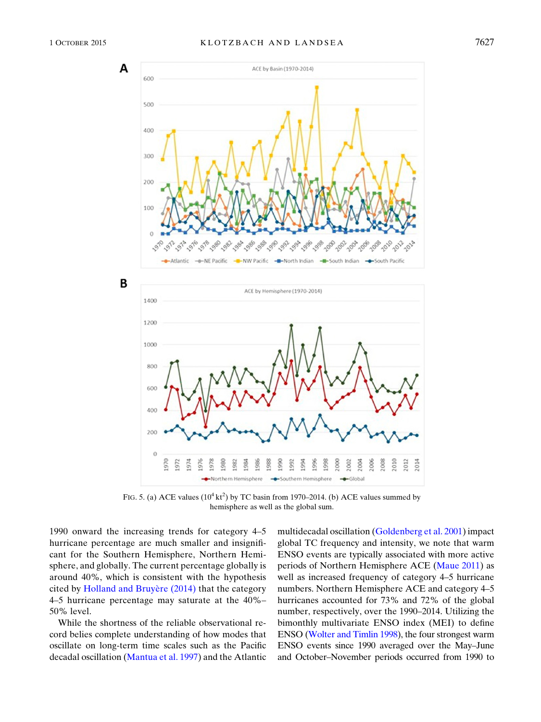<span id="page-6-0"></span>

FIG. 5. (a) ACE values  $(10^4 \text{ kt}^2)$  by TC basin from 1970–2014. (b) ACE values summed by hemisphere as well as the global sum.

1990 onward the increasing trends for category 4–5 hurricane percentage are much smaller and insignificant for the Southern Hemisphere, Northern Hemisphere, and globally. The current percentage globally is around 40%, which is consistent with the hypothesis cited by [Holland and Bruy](#page-8-29)ère (2014) that the category 4–5 hurricane percentage may saturate at the 40%– 50% level.

While the shortness of the reliable observational record belies complete understanding of how modes that oscillate on long-term time scales such as the Pacific decadal oscillation ([Mantua et al. 1997](#page-8-12)) and the Atlantic multidecadal oscillation [\(Goldenberg et al. 2001\)](#page-8-11) impact global TC frequency and intensity, we note that warm ENSO events are typically associated with more active periods of Northern Hemisphere ACE ([Maue 2011](#page-8-28)) as well as increased frequency of category 4–5 hurricane numbers. Northern Hemisphere ACE and category 4–5 hurricanes accounted for 73% and 72% of the global number, respectively, over the 1990–2014. Utilizing the bimonthly multivariate ENSO index (MEI) to define ENSO [\(Wolter and Timlin 1998\)](#page-8-30), the four strongest warm ENSO events since 1990 averaged over the May–June and October–November periods occurred from 1990 to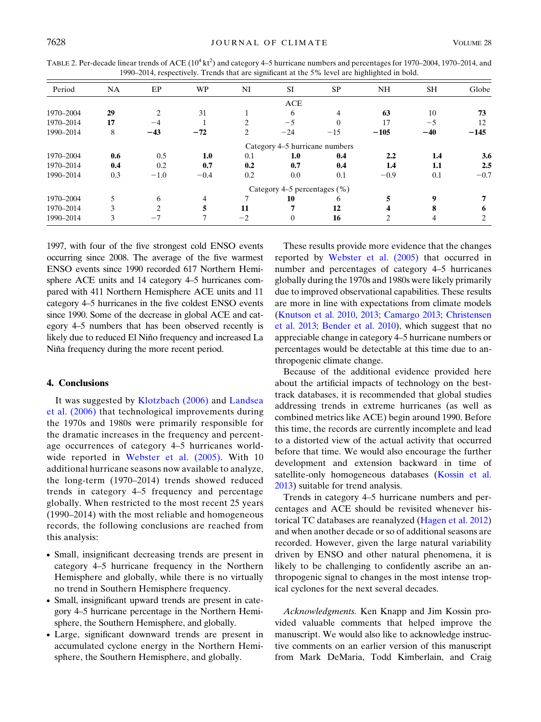<span id="page-7-1"></span>

|        |    |    |    |     | TABLE 2. Per-decade linear trends of ACE $(10^4 \text{ kt}^2)$ and category 4–5 hurricane numbers and percentages for 1970–2004, 1970–2014, and |    |       |
|--------|----|----|----|-----|-------------------------------------------------------------------------------------------------------------------------------------------------|----|-------|
|        |    |    |    |     | 1990–2014, respectively. Trends that are significant at the 5% level are highlighted in bold.                                                   |    |       |
| Period | NΑ | WP | NI |     | NН                                                                                                                                              | SН | Globe |
|        |    |    |    | ACE |                                                                                                                                                 |    |       |

| renou     | IN A                            | ЕF        | VV L   | <b>INT</b> | $\mathbf{L}$                   | эг    | INП    | эπ    | <b>OTODE</b> |
|-----------|---------------------------------|-----------|--------|------------|--------------------------------|-------|--------|-------|--------------|
|           |                                 |           |        |            | ACE                            |       |        |       |              |
| 1970-2004 | 29                              | 2         | 31     |            | 6                              |       | 63     | 10    | 73           |
| 1970-2014 | 17                              | $-4$      |        |            | $-5$                           |       | 17     | $-5$  | 12           |
| 1990-2014 | 8                               | $-43$     | $-72$  | 2          | $-24$                          | $-15$ | $-105$ | $-40$ | $-145$       |
|           |                                 |           |        |            | Category 4–5 hurricane numbers |       |        |       |              |
| 1970-2004 | 0.6                             | 0.5       | 1.0    | 0.1        | 1.0                            | 0.4   | 2.2    | 1.4   | 3.6          |
| 1970-2014 | 0.4                             | 0.2       | 0.7    | 0.2        | 0.7                            | 0.4   | 1.4    | 1.1   | 2.5          |
| 1990-2014 | 0.3                             | $-1.0$    | $-0.4$ | 0.2        | 0.0                            | 0.1   | $-0.9$ | 0.1   | $-0.7$       |
|           | Category 4–5 percentages $(\%)$ |           |        |            |                                |       |        |       |              |
| 1970-2004 |                                 | 6         | 4      |            | 10                             | h     |        | q     |              |
| 1970-2014 |                                 | $\bigcap$ |        | 11         |                                | 12    |        |       | 6            |
| 1990-2014 |                                 | $-7$      |        | $-2$       | $\Omega$                       | 16    |        |       | ∍            |

1997, with four of the five strongest cold ENSO events occurring since 2008. The average of the five warmest ENSO events since 1990 recorded 617 Northern Hemisphere ACE units and 14 category 4–5 hurricanes compared with 411 Northern Hemisphere ACE units and 11 category 4–5 hurricanes in the five coldest ENSO events since 1990. Some of the decrease in global ACE and category 4–5 numbers that has been observed recently is likely due to reduced El Niño frequency and increased La Niña frequency during the more recent period.

### <span id="page-7-0"></span>4. Conclusions

It was suggested by [Klotzbach \(2006\)](#page-8-2) and [Landsea](#page-8-3) [et al. \(2006\)](#page-8-3) that technological improvements during the 1970s and 1980s were primarily responsible for the dramatic increases in the frequency and percentage occurrences of category 4–5 hurricanes world-wide reported in [Webster et al. \(2005\)](#page-8-0). With 10 additional hurricane seasons now available to analyze, the long-term (1970–2014) trends showed reduced trends in category 4–5 frequency and percentage globally. When restricted to the most recent 25 years (1990–2014) with the most reliable and homogeneous records, the following conclusions are reached from this analysis:

- Small, insignificant decreasing trends are present in category 4–5 hurricane frequency in the Northern Hemisphere and globally, while there is no virtually no trend in Southern Hemisphere frequency.
- Small, insignificant upward trends are present in category 4–5 hurricane percentage in the Northern Hemisphere, the Southern Hemisphere, and globally.
- Large, significant downward trends are present in accumulated cyclone energy in the Northern Hemisphere, the Southern Hemisphere, and globally.

These results provide more evidence that the changes reported by [Webster et al. \(2005\)](#page-8-0) that occurred in number and percentages of category 4–5 hurricanes globally during the 1970s and 1980s were likely primarily due to improved observational capabilities. These results are more in line with expectations from climate models ([Knutson et al. 2010](#page-8-7), [2013;](#page-8-8) [Camargo 2013;](#page-8-9) [Christensen](#page-8-22) [et al. 2013](#page-8-22); [Bender et al. 2010\)](#page-8-31), which suggest that no appreciable change in category 4–5 hurricane numbers or percentages would be detectable at this time due to anthropogenic climate change.

Because of the additional evidence provided here about the artificial impacts of technology on the besttrack databases, it is recommended that global studies addressing trends in extreme hurricanes (as well as combined metrics like ACE) begin around 1990. Before this time, the records are currently incomplete and lead to a distorted view of the actual activity that occurred before that time. We would also encourage the further development and extension backward in time of satellite-only homogeneous databases ([Kossin et al.](#page-8-4) [2013\)](#page-8-4) suitable for trend analysis.

Trends in category 4–5 hurricane numbers and percentages and ACE should be revisited whenever historical TC databases are reanalyzed ([Hagen et al. 2012\)](#page-8-32) and when another decade or so of additional seasons are recorded. However, given the large natural variability driven by ENSO and other natural phenomena, it is likely to be challenging to confidently ascribe an anthropogenic signal to changes in the most intense tropical cyclones for the next several decades.

Acknowledgments. Ken Knapp and Jim Kossin provided valuable comments that helped improve the manuscript. We would also like to acknowledge instructive comments on an earlier version of this manuscript from Mark DeMaria, Todd Kimberlain, and Craig